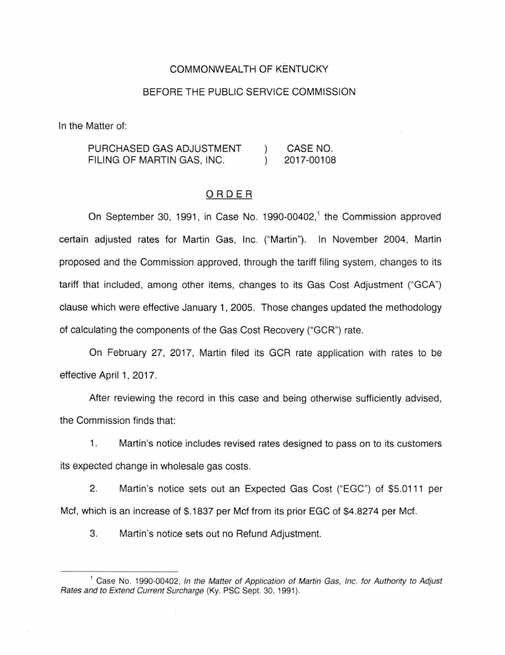#### COMMONWEALTH OF KENTUCKY

#### BEFORE THE PUBLIC SERVICE COMMISSION

In the Matter of:

PURCHASED GAS ADJUSTMENT CASE NO. FILING OF MARTIN GAS, INC. 2017-00108  $\lambda$ 

### ORDER

On September 30, 1991, in Case No. 1990-00402,<sup>1</sup> the Commission approved certain adjusted rates for Martin Gas, Inc. ("Martin"). In November 2004, Martin proposed and the Commission approved, through the tariff filing system, changes to its tariff that included, among other items, changes to its Gas Cost Adjustment ("GCA") clause which were effective January 1, 2005. Those changes updated the methodology of calculating the components of the Gas Cost Recovery ("GCR") rate.

On February 27, 2017, Martin filed its GCR rate application with rates to be effective April 1, 2017.

After reviewing the record in this case and being otherwise sufficiently advised, the Commission finds that:

1. Martin's notice includes revised rates designed to pass on to its customers its expected change in wholesale gas costs.

2. Martin's notice sets out an Expected Gas Cost ("EGC") of \$5.0111 per Mcf, which is an increase of \$.1837 per Mcf from its prior EGC of \$4.8274 per Mcf.

3. Martin's notice sets out no Refund Adjustment.

<sup>&</sup>lt;sup>1</sup> Case No. 1990-00402, In the Matter of Application of Martin Gas, Inc. for Authority to Adjust Rates and to Extend Current Surcharge (Ky. PSC Sept. 30, 1991).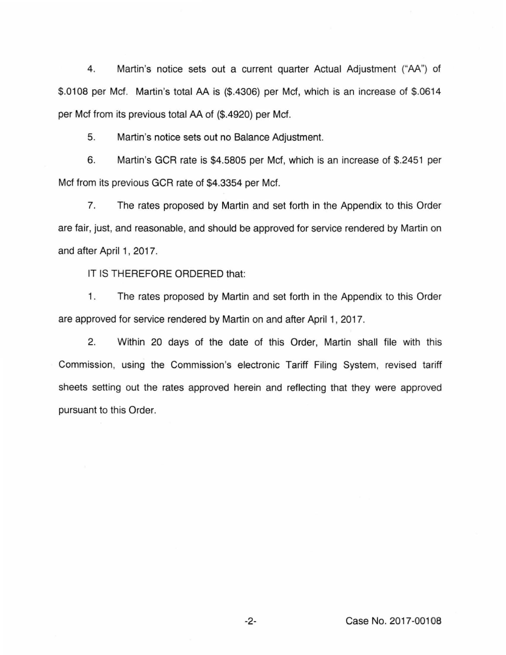4. Martin's notice sets out a current quarter Actual Adjustment ("AA") of \$.0108 per Mcf. Martin's total AA is (\$.4306) per Mcf, which is an increase of \$.0614 per Mcf from its previous total AA of (\$.4920) per Mcf.

5. Martin's notice sets out no Balance Adjustment.

6. Martin's GCR rate is \$4.5805 per Mcf, which is an increase of \$.2451 per Mcf from its previous GCR rate of \$4.3354 per Mcf.

7. The rates proposed by Martin and set forth in the Appendix to this Order are fair, just, and reasonable, and should be approved for service rendered by Martin on and after April 1, 2017.

IT IS THEREFORE ORDERED that:

1. The rates proposed by Martin and set forth in the Appendix to this Order are approved for service rendered by Martin on and after April 1, 2017.

2. Within 20 days of the date of this Order, Martin shall file with this Commission, using the Commission's electronic Tariff Filing System, revised tariff sheets setting out the rates approved herein and reflecting that they were approved pursuant to this Order.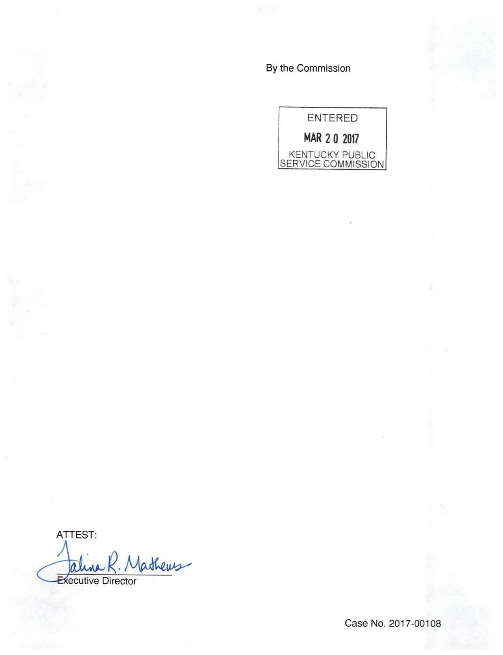By the Commission



ATTEST: *lathews* aline **Executive Director** 

Case No. 2017-00108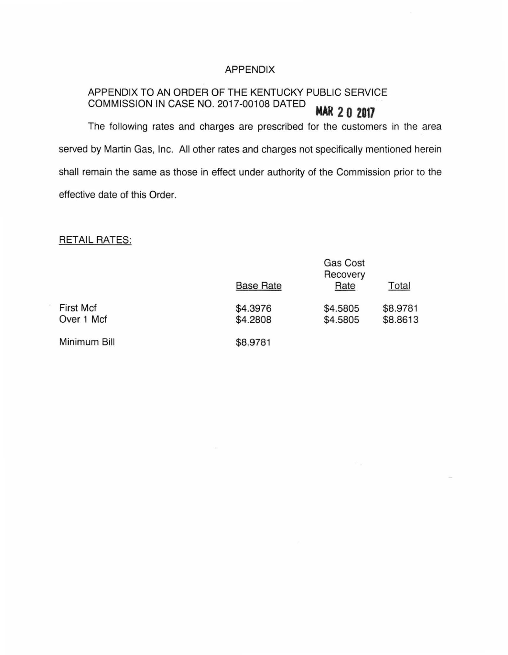## APPENDIX

## APPENDIX TO AN ORDER OF THE KENTUCKY PUBLIC SERVICE COMMISSION IN CASE NO. 2017-00108 DATED  $MAR$  2 0 2017

The following rates and charges are prescribed for the customers in the area served by Martin Gas, Inc. All other rates and charges not specifically mentioned herein shall remain the same as those in effect under authority of the Commission prior to the effective date of this Order.

# RETAIL RATES:

|                                | <b>Base Rate</b>     | Gas Cost<br>Recovery<br>Rate | Total                |
|--------------------------------|----------------------|------------------------------|----------------------|
| <b>First Mcf</b><br>Over 1 Mcf | \$4.3976<br>\$4.2808 | \$4.5805<br>\$4.5805         | \$8.9781<br>\$8.8613 |
| Minimum Bill                   | \$8.9781             |                              |                      |